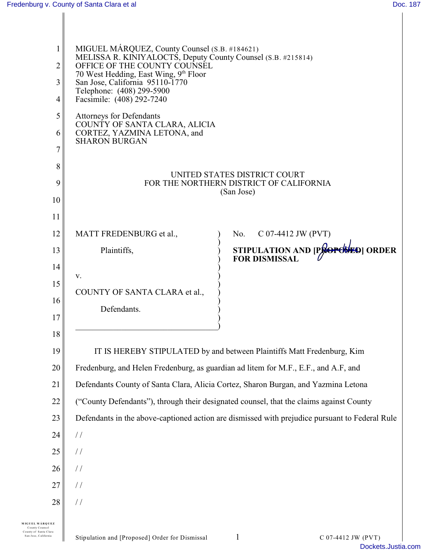| $\mathbf{1}$<br>2<br>3<br>$\overline{4}$<br>5                                     | MIGUEL MÁRQUEZ, County Counsel (S.B. #184621)<br>MELISSA R. KINIYALOCTS, Deputy County Counsel (S.B. #215814)<br>OFFICE OF THE COUNTY COUNSEL<br>70 West Hedding, East Wing, 9th Floor<br>San Jose, California 95110-1770<br>Telephone: (408) 299-5900<br>Facsimile: (408) 292-7240<br>Attorneys for Defendants<br>COUNTY OF SANTA CLARA, ALICIA |
|-----------------------------------------------------------------------------------|--------------------------------------------------------------------------------------------------------------------------------------------------------------------------------------------------------------------------------------------------------------------------------------------------------------------------------------------------|
| 6                                                                                 | CORTEZ, YAZMINA LETONA, and<br><b>SHARON BURGAN</b>                                                                                                                                                                                                                                                                                              |
| 7                                                                                 |                                                                                                                                                                                                                                                                                                                                                  |
| 8                                                                                 | UNITED STATES DISTRICT COURT                                                                                                                                                                                                                                                                                                                     |
| 9                                                                                 | FOR THE NORTHERN DISTRICT OF CALIFORNIA<br>(San Jose)                                                                                                                                                                                                                                                                                            |
| 10                                                                                |                                                                                                                                                                                                                                                                                                                                                  |
| 11                                                                                |                                                                                                                                                                                                                                                                                                                                                  |
| 12                                                                                | C 07-4412 JW (PVT)<br>MATT FREDENBURG et al.,<br>No.                                                                                                                                                                                                                                                                                             |
| 13                                                                                | STIPULATION AND [P <b>geore the gi</b> ORDER<br>FOR DISMISSAL<br>Plaintiffs,                                                                                                                                                                                                                                                                     |
| 14                                                                                |                                                                                                                                                                                                                                                                                                                                                  |
| 15                                                                                | V.                                                                                                                                                                                                                                                                                                                                               |
| 16                                                                                | COUNTY OF SANTA CLARA et al.,                                                                                                                                                                                                                                                                                                                    |
| 17                                                                                | Defendants.                                                                                                                                                                                                                                                                                                                                      |
| 18                                                                                |                                                                                                                                                                                                                                                                                                                                                  |
| 19                                                                                | IT IS HEREBY STIPULATED by and between Plaintiffs Matt Fredenburg, Kim                                                                                                                                                                                                                                                                           |
| 20                                                                                | Fredenburg, and Helen Fredenburg, as guardian ad litem for M.F., E.F., and A.F, and                                                                                                                                                                                                                                                              |
| 21                                                                                | Defendants County of Santa Clara, Alicia Cortez, Sharon Burgan, and Yazmina Letona                                                                                                                                                                                                                                                               |
| 22                                                                                | ("County Defendants"), through their designated counsel, that the claims against County                                                                                                                                                                                                                                                          |
| 23                                                                                | Defendants in the above-captioned action are dismissed with prejudice pursuant to Federal Rule                                                                                                                                                                                                                                                   |
| 24                                                                                | $\frac{1}{2}$                                                                                                                                                                                                                                                                                                                                    |
| 25                                                                                | $\frac{1}{2}$                                                                                                                                                                                                                                                                                                                                    |
| 26                                                                                | $\frac{1}{2}$                                                                                                                                                                                                                                                                                                                                    |
| 27                                                                                | $\frac{1}{2}$                                                                                                                                                                                                                                                                                                                                    |
| 28                                                                                | $\frac{1}{2}$                                                                                                                                                                                                                                                                                                                                    |
| MIGUEL MÁRQUEZ<br>County Counsel<br>County of Santa Clara<br>San Jose, California | $\mathbf{1}$<br>Stipulation and [Proposed] Order for Dismissal<br>C 07-4412 JW (PVT)                                                                                                                                                                                                                                                             |